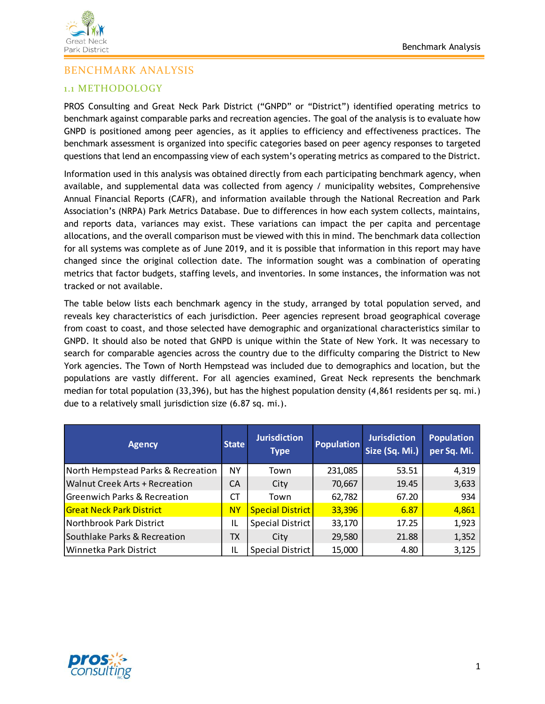

# BENCHMARK ANALYSIS

## 1.1 METHODOLOGY

PROS Consulting and Great Neck Park District ("GNPD" or "District") identified operating metrics to benchmark against comparable parks and recreation agencies. The goal of the analysis is to evaluate how GNPD is positioned among peer agencies, as it applies to efficiency and effectiveness practices. The benchmark assessment is organized into specific categories based on peer agency responses to targeted questions that lend an encompassing view of each system's operating metrics as compared to the District.

Information used in this analysis was obtained directly from each participating benchmark agency, when available, and supplemental data was collected from agency / municipality websites, Comprehensive Annual Financial Reports (CAFR), and information available through the National Recreation and Park Association's (NRPA) Park Metrics Database. Due to differences in how each system collects, maintains, and reports data, variances may exist. These variations can impact the per capita and percentage allocations, and the overall comparison must be viewed with this in mind. The benchmark data collection for all systems was complete as of June 2019, and it is possible that information in this report may have changed since the original collection date. The information sought was a combination of operating metrics that factor budgets, staffing levels, and inventories. In some instances, the information was not tracked or not available.

The table below lists each benchmark agency in the study, arranged by total population served, and reveals key characteristics of each jurisdiction. Peer agencies represent broad geographical coverage from coast to coast, and those selected have demographic and organizational characteristics similar to GNPD. It should also be noted that GNPD is unique within the State of New York. It was necessary to search for comparable agencies across the country due to the difficulty comparing the District to New York agencies. The Town of North Hempstead was included due to demographics and location, but the populations are vastly different. For all agencies examined, Great Neck represents the benchmark median for total population (33,396), but has the highest population density (4,861 residents per sq. mi.) due to a relatively small jurisdiction size (6.87 sq. mi.).

| <b>Agency</b>                           | <b>State</b> | <b>Jurisdiction</b><br><b>Type</b> | <b>Population</b> | <b>Jurisdiction</b><br>Size (Sq. Mi.) | <b>Population</b><br>per Sq. Mi. |
|-----------------------------------------|--------------|------------------------------------|-------------------|---------------------------------------|----------------------------------|
| North Hempstead Parks & Recreation      | NY           | Town                               | 231,085           | 53.51                                 | 4,319                            |
| Walnut Creek Arts + Recreation          | CA           | City                               | 70,667            | 19.45                                 | 3,633                            |
| <b>Greenwich Parks &amp; Recreation</b> | СT           | Town                               | 62,782            | 67.20                                 | 934                              |
| <b>Great Neck Park District</b>         | <b>NY</b>    | <b>Special District</b>            | 33,396            | 6.87                                  | 4,861                            |
| Northbrook Park District                | IL           | Special District                   | 33,170            | 17.25                                 | 1,923                            |
| Southlake Parks & Recreation            | TX           | City                               | 29,580            | 21.88                                 | 1,352                            |
| Winnetka Park District                  | IL           | Special District                   | 15,000            | 4.80                                  | 3,125                            |

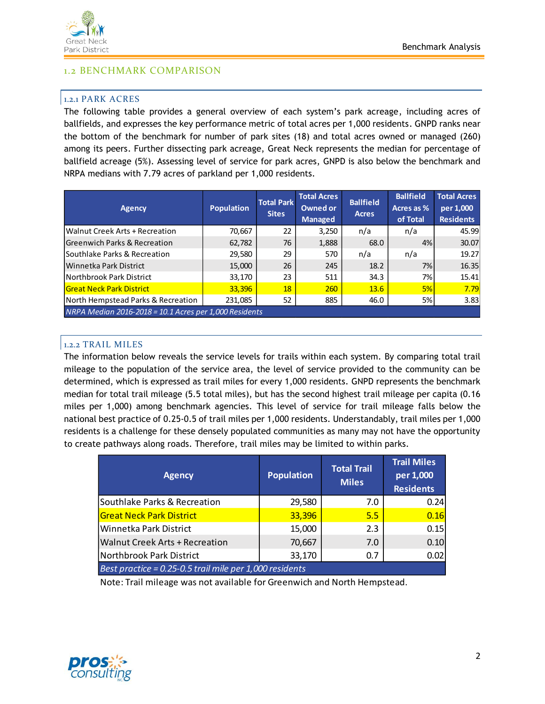

### 1.2 BENCHMARK COMPARISON

#### 1.2.1 PARK ACRES

The following table provides a general overview of each system's park acreage, including acres of ballfields, and expresses the key performance metric of total acres per 1,000 residents. GNPD ranks near the bottom of the benchmark for number of park sites (18) and total acres owned or managed (260) among its peers. Further dissecting park acreage, Great Neck represents the median for percentage of ballfield acreage (5%). Assessing level of service for park acres, GNPD is also below the benchmark and NRPA medians with 7.79 acres of parkland per 1,000 residents.

| <b>Agency</b>                                          | <b>Population</b> | <b>Total Park</b><br><b>Sites</b> | <b>Total Acres</b><br>Owned or<br><b>Managed</b> | <b>Ballfield</b><br><b>Acres</b> | <b>Ballfield</b><br>Acres as %<br>of Total | <b>Total Acres</b><br>per 1,000<br><b>Residents</b> |
|--------------------------------------------------------|-------------------|-----------------------------------|--------------------------------------------------|----------------------------------|--------------------------------------------|-----------------------------------------------------|
| Walnut Creek Arts + Recreation                         | 70,667            | 22                                | 3,250                                            | n/a                              | n/a                                        | 45.99                                               |
| <b>Greenwich Parks &amp; Recreation</b>                | 62,782            | 76                                | 1,888                                            | 68.0                             | 4%                                         | 30.07                                               |
| Southlake Parks & Recreation                           | 29,580            | 29                                | 570                                              | n/a                              | n/a                                        | 19.27                                               |
| Winnetka Park District                                 | 15,000            | 26                                | 245                                              | 18.2                             | 7%                                         | 16.35                                               |
| Northbrook Park District                               | 33,170            | 23                                | 511                                              | 34.3                             | 7%                                         | 15.41                                               |
| <b>Great Neck Park District</b>                        | 33,396            | 18                                | 260                                              | 13.6                             | 5%                                         | 7.79                                                |
| North Hempstead Parks & Recreation                     | 231,085           | 52                                | 885                                              | 46.0                             | 5%                                         | 3.83                                                |
| NRPA Median 2016-2018 = 10.1 Acres per 1,000 Residents |                   |                                   |                                                  |                                  |                                            |                                                     |

#### 1.2.2 TRAIL MILES

The information below reveals the service levels for trails within each system. By comparing total trail mileage to the population of the service area, the level of service provided to the community can be determined, which is expressed as trail miles for every 1,000 residents. GNPD represents the benchmark median for total trail mileage (5.5 total miles), but has the second highest trail mileage per capita (0.16 miles per 1,000) among benchmark agencies. This level of service for trail mileage falls below the national best practice of 0.25-0.5 of trail miles per 1,000 residents. Understandably, trail miles per 1,000 residents is a challenge for these densely populated communities as many may not have the opportunity to create pathways along roads. Therefore, trail miles may be limited to within parks.

| <b>Agency</b>                                              | <b>Population</b> | <b>Total Trail</b><br><b>Miles</b> | <b>Trail Miles</b><br>per 1,000<br><b>Residents</b> |  |  |  |
|------------------------------------------------------------|-------------------|------------------------------------|-----------------------------------------------------|--|--|--|
| Southlake Parks & Recreation                               | 29,580            | 7.0                                | 0.24                                                |  |  |  |
| <b>Great Neck Park District</b>                            | 33,396            | 5.5                                | 0.16                                                |  |  |  |
| Winnetka Park District                                     | 15,000            | 2.3                                | 0.15                                                |  |  |  |
| <b>Walnut Creek Arts + Recreation</b>                      | 70,667            | 7.0                                | 0.10                                                |  |  |  |
| Northbrook Park District                                   | 33,170            | 0.7                                | 0.02                                                |  |  |  |
| Best practice = $0.25$ -0.5 trail mile per 1,000 residents |                   |                                    |                                                     |  |  |  |

Note: Trail mileage was not available for Greenwich and North Hempstead.

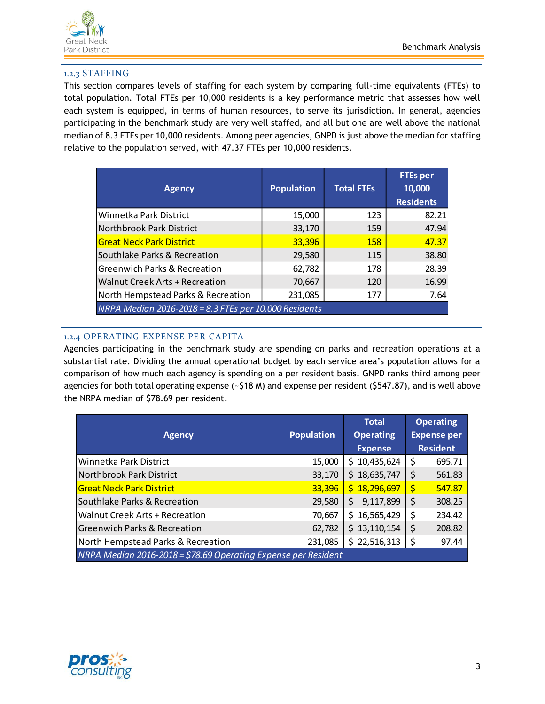

### 1.2.3 STAFFING

This section compares levels of staffing for each system by comparing full-time equivalents (FTEs) to total population. Total FTEs per 10,000 residents is a key performance metric that assesses how well each system is equipped, in terms of human resources, to serve its jurisdiction. In general, agencies participating in the benchmark study are very well staffed, and all but one are well above the national median of 8.3 FTEs per 10,000 residents. Among peer agencies, GNPD is just above the median for staffing relative to the population served, with 47.37 FTEs per 10,000 residents.

| <b>Agency</b>                                         | <b>Population</b> | <b>Total FTEs</b> | <b>FTEs per</b><br>10,000<br><b>Residents</b> |
|-------------------------------------------------------|-------------------|-------------------|-----------------------------------------------|
| Winnetka Park District                                | 15,000            | 123               | 82.21                                         |
| Northbrook Park District                              | 33,170            | 159               | 47.94                                         |
| <b>Great Neck Park District</b>                       | 33,396            | 158               | 47.37                                         |
| Southlake Parks & Recreation                          | 29,580            | 115               | 38.80                                         |
| <b>Greenwich Parks &amp; Recreation</b>               | 62,782            | 178               | 28.39                                         |
| Walnut Creek Arts + Recreation                        | 70,667            | 120               | 16.99                                         |
| North Hempstead Parks & Recreation                    | 231,085           | 177               | 7.64                                          |
| NRPA Median 2016-2018 = 8.3 FTEs per 10,000 Residents |                   |                   |                                               |

## 1.2.4 OPERATING EXPENSE PER CAPITA

Agencies participating in the benchmark study are spending on parks and recreation operations at a substantial rate. Dividing the annual operational budget by each service area's population allows for a comparison of how much each agency is spending on a per resident basis. GNPD ranks third among peer agencies for both total operating expense (~\$18 M) and expense per resident (\$547.87), and is well above the NRPA median of \$78.69 per resident.

| <b>Agency</b>                                                  | <b>Population</b> | <b>Total</b><br><b>Operating</b> | <b>Operating</b><br><b>Expense per</b> |  |  |  |
|----------------------------------------------------------------|-------------------|----------------------------------|----------------------------------------|--|--|--|
|                                                                |                   | <b>Expense</b>                   | <b>Resident</b>                        |  |  |  |
| Winnetka Park District                                         | 15,000            | \$10,435,624                     | 695.71<br>\$                           |  |  |  |
| Northbrook Park District                                       | 33,170            | \$18,635,747                     | \$<br>561.83                           |  |  |  |
| <b>Great Neck Park District</b>                                | 33,396            | \$18,296,697                     | $\overline{\mathsf{S}}$<br>547.87      |  |  |  |
| Southlake Parks & Recreation                                   | 29,580            | 9,117,899<br>\$                  | \$<br>308.25                           |  |  |  |
| Walnut Creek Arts + Recreation                                 | 70,667            | \$16,565,429                     | \$<br>234.42                           |  |  |  |
| <b>Greenwich Parks &amp; Recreation</b>                        | 62,782            | \$13,110,154                     | \$<br>208.82                           |  |  |  |
| North Hempstead Parks & Recreation                             | 231,085           | \$22,516,313                     | \$<br>97.44                            |  |  |  |
| NRPA Median 2016-2018 = \$78.69 Operating Expense per Resident |                   |                                  |                                        |  |  |  |

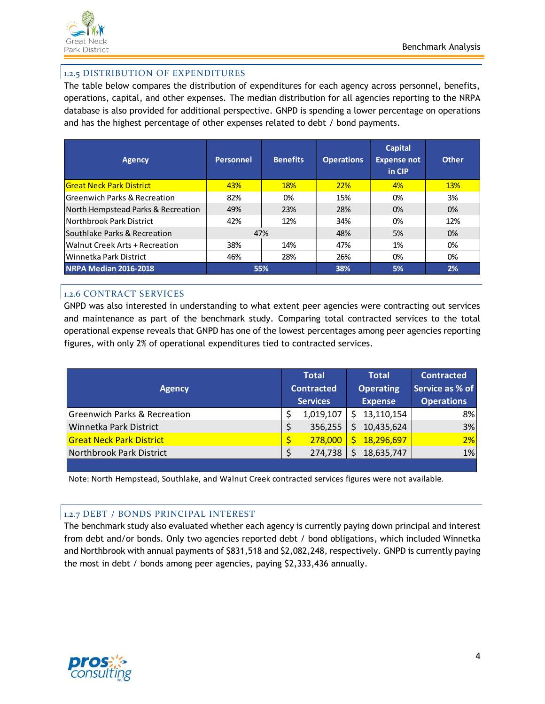

## 1.2.5 DISTRIBUTION OF EXPENDITURES

The table below compares the distribution of expenditures for each agency across personnel, benefits, operations, capital, and other expenses. The median distribution for all agencies reporting to the NRPA database is also provided for additional perspective. GNPD is spending a lower percentage on operations and has the highest percentage of other expenses related to debt / bond payments.

| <b>Agency</b>                           | <b>Personnel</b> | <b>Benefits</b> | <b>Operations</b> | <b>Capital</b><br><b>Expense not</b><br>in CIP | <b>Other</b> |
|-----------------------------------------|------------------|-----------------|-------------------|------------------------------------------------|--------------|
| <b>Great Neck Park District</b>         | 43%              | <b>18%</b>      | 22%               | 4%                                             | <b>13%</b>   |
| <b>Greenwich Parks &amp; Recreation</b> | 82%              | 0%              | 15%               | 0%                                             | 3%           |
| North Hempstead Parks & Recreation      | 49%              | 23%             | 28%               | 0%                                             | 0%           |
| Northbrook Park District                | 42%              | 12%             | 34%               | 0%                                             | 12%          |
| Southlake Parks & Recreation            |                  | 47%             | 48%               | 5%                                             | 0%           |
| Walnut Creek Arts + Recreation          | 38%              | 14%             | 47%               | 1%                                             | 0%           |
| Winnetka Park District                  | 46%              | 28%             | 26%               | 0%                                             | 0%           |
| <b>NRPA Median 2016-2018</b>            |                  | 55%             | 38%               | 5%                                             | 2%           |

## 1.2.6 CONTRACT SERVICES

GNPD was also interested in understanding to what extent peer agencies were contracting out services and maintenance as part of the benchmark study. Comparing total contracted services to the total operational expense reveals that GNPD has one of the lowest percentages among peer agencies reporting figures, with only 2% of operational expenditures tied to contracted services.

|    | <b>Total</b> |                                      | <b>Total</b>   | <b>Contracted</b>                            |
|----|--------------|--------------------------------------|----------------|----------------------------------------------|
|    |              |                                      |                | Service as % of                              |
|    |              |                                      | <b>Expense</b> | <b>Operations</b>                            |
|    | 1,019,107    | S.                                   |                | 8%                                           |
| \$ | 356,255      | Ś.                                   | 10,435,624     | 3%                                           |
|    | 278,000      |                                      |                | 2%                                           |
| Ś  | 274,738      |                                      | 18,635,747     | 1%                                           |
|    |              | <b>Contracted</b><br><b>Services</b> | Ś.             | <b>Operating</b><br>13,110,154<br>18,296,697 |

Note: North Hempstead, Southlake, and Walnut Creek contracted services figures were not available.

### 1.2.7 DEBT / BONDS PRINCIPAL INTEREST

The benchmark study also evaluated whether each agency is currently paying down principal and interest from debt and/or bonds. Only two agencies reported debt / bond obligations, which included Winnetka and Northbrook with annual payments of \$831,518 and \$2,082,248, respectively. GNPD is currently paying the most in debt / bonds among peer agencies, paying \$2,333,436 annually.

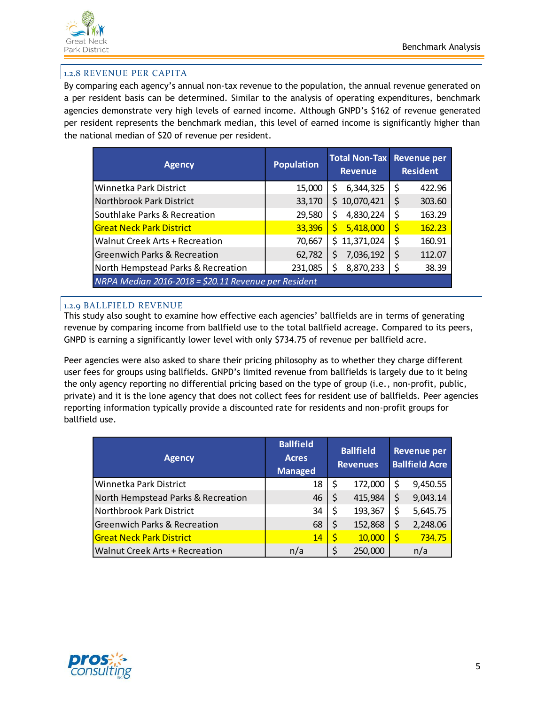

## 1.2.8 REVENUE PER CAPITA

By comparing each agency's annual non-tax revenue to the population, the annual revenue generated on a per resident basis can be determined. Similar to the analysis of operating expenditures, benchmark agencies demonstrate very high levels of earned income. Although GNPD's \$162 of revenue generated per resident represents the benchmark median, this level of earned income is significantly higher than the national median of \$20 of revenue per resident.

| <b>Agency</b>                                        | <b>Population</b> | <b>Total Non-Tax</b><br><b>Revenue</b> | <b>Revenue per</b><br><b>Resident</b> |  |
|------------------------------------------------------|-------------------|----------------------------------------|---------------------------------------|--|
| Winnetka Park District                               | 15,000            | 6,344,325<br>S                         | \$<br>422.96                          |  |
| Northbrook Park District                             | 33,170            | \$10,070,421                           | \$<br>303.60                          |  |
| Southlake Parks & Recreation                         | 29,580            | 4,830,224<br>\$                        | \$<br>163.29                          |  |
| <b>Great Neck Park District</b>                      | 33,396            | 5,418,000<br>\$                        | Ŝ<br>162.23                           |  |
| <b>Walnut Creek Arts + Recreation</b>                | 70,667            | \$11,371,024                           | \$<br>160.91                          |  |
| <b>Greenwich Parks &amp; Recreation</b>              | 62,782            | 7,036,192<br>\$                        | \$<br>112.07                          |  |
| North Hempstead Parks & Recreation                   | 231,085           | \$<br>8,870,233                        | 38.39<br>\$                           |  |
| NRPA Median 2016-2018 = \$20.11 Revenue per Resident |                   |                                        |                                       |  |

## 1.2.9 BALLFIELD REVENUE

This study also sought to examine how effective each agencies' ballfields are in terms of generating revenue by comparing income from ballfield use to the total ballfield acreage. Compared to its peers, GNPD is earning a significantly lower level with only \$734.75 of revenue per ballfield acre.

Peer agencies were also asked to share their pricing philosophy as to whether they charge different user fees for groups using ballfields. GNPD's limited revenue from ballfields is largely due to it being the only agency reporting no differential pricing based on the type of group (i.e., non-profit, public, private) and it is the lone agency that does not collect fees for resident use of ballfields. Peer agencies reporting information typically provide a discounted rate for residents and non-profit groups for ballfield use.

| <b>Agency</b>                           | <b>Ballfield</b><br><b>Acres</b><br><b>Managed</b> | <b>Ballfield</b><br><b>Revenues</b> |         | <b>Revenue per</b><br><b>Ballfield Acre</b> |          |
|-----------------------------------------|----------------------------------------------------|-------------------------------------|---------|---------------------------------------------|----------|
| Winnetka Park District                  | 18                                                 | \$                                  | 172,000 | \$                                          | 9,450.55 |
| North Hempstead Parks & Recreation      | 46                                                 | \$                                  | 415,984 | \$                                          | 9,043.14 |
| Northbrook Park District                | 34                                                 | \$                                  | 193,367 | \$                                          | 5,645.75 |
| <b>Greenwich Parks &amp; Recreation</b> | 68                                                 | \$                                  | 152,868 | \$                                          | 2,248.06 |
| <b>Great Neck Park District</b>         | 14                                                 | \$                                  | 10,000  |                                             | 734.75   |
| <b>Walnut Creek Arts + Recreation</b>   | n/a                                                | \$                                  | 250,000 |                                             | n/a      |

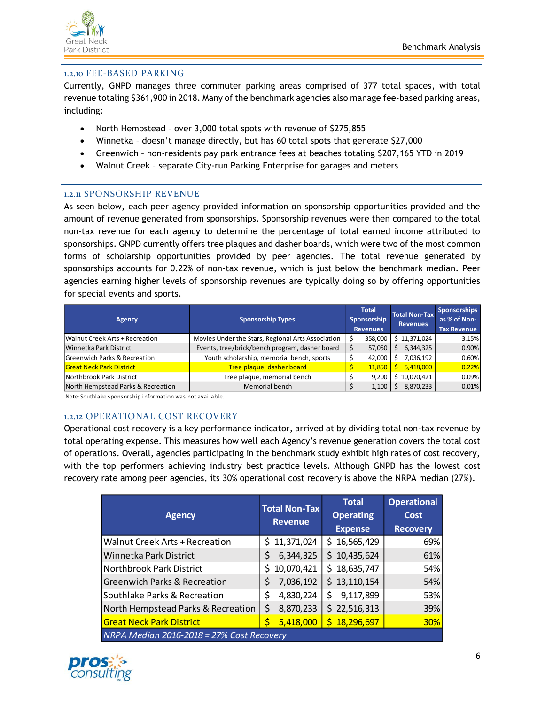

#### 1.2.10 FEE-BASED PARKING

Currently, GNPD manages three commuter parking areas comprised of 377 total spaces, with total revenue totaling \$361,900 in 2018. Many of the benchmark agencies also manage fee-based parking areas, including:

- North Hempstead over 3,000 total spots with revenue of \$275,855
- Winnetka doesn't manage directly, but has 60 total spots that generate \$27,000
- Greenwich non-residents pay park entrance fees at beaches totaling \$207,165 YTD in 2019
- Walnut Creek separate City-run Parking Enterprise for garages and meters

#### 1.2.11 SPONSORSHIP REVENUE

As seen below, each peer agency provided information on sponsorship opportunities provided and the amount of revenue generated from sponsorships. Sponsorship revenues were then compared to the total non-tax revenue for each agency to determine the percentage of total earned income attributed to sponsorships. GNPD currently offers tree plaques and dasher boards, which were two of the most common forms of scholarship opportunities provided by peer agencies. The total revenue generated by sponsorships accounts for 0.22% of non-tax revenue, which is just below the benchmark median. Peer agencies earning higher levels of sponsorship revenues are typically doing so by offering opportunities for special events and sports.

| Agency                             | <b>Sponsorship Types</b>                          | <b>Total</b><br>Sponsorship<br><b>Revenues</b> | <b>Total Non-Tax</b><br><b>Revenues</b> | <b>Sponsorships</b><br>as % of Non-<br><b>Tax Revenue</b> |
|------------------------------------|---------------------------------------------------|------------------------------------------------|-----------------------------------------|-----------------------------------------------------------|
| Walnut Creek Arts + Recreation     | Movies Under the Stars, Regional Arts Association | 358,000                                        | \$11,371,024                            | 3.15%                                                     |
| Winnetka Park District             | Events, tree/brick/bench program, dasher board    | \$<br>57,050                                   | 6,344,325<br>Ś                          | 0.90%                                                     |
| Greenwich Parks & Recreation       | Youth scholarship, memorial bench, sports         | 42,000                                         | 7,036,192                               | 0.60%                                                     |
| <b>Great Neck Park District</b>    | Tree plaque, dasher board                         | 11,850                                         | 5,418,000                               | 0.22%                                                     |
| Northbrook Park District           | Tree plaque, memorial bench                       | 9.200                                          | 10,070,421<br>Ś                         | 0.09%                                                     |
| North Hempstead Parks & Recreation | Memorial bench                                    | 1,100                                          | 8,870,233<br>S                          | 0.01%                                                     |

Note: Southlake sponsorship information was not available.

#### 1.2.12 OPERATIONAL COST RECOVERY

Operational cost recovery is a key performance indicator, arrived at by dividing total non-tax revenue by total operating expense. This measures how well each Agency's revenue generation covers the total cost of operations. Overall, agencies participating in the benchmark study exhibit high rates of cost recovery, with the top performers achieving industry best practice levels. Although GNPD has the lowest cost recovery rate among peer agencies, its 30% operational cost recovery is above the NRPA median (27%).

| <b>Agency</b>                             | <b>Total Non-Tax</b><br><b>Revenue</b> | <b>Total</b><br><b>Operating</b><br><b>Expense</b> | <b>Operational</b><br><b>Cost</b><br><b>Recovery</b> |
|-------------------------------------------|----------------------------------------|----------------------------------------------------|------------------------------------------------------|
| <b>Walnut Creek Arts + Recreation</b>     | \$11,371,024                           | \$16,565,429                                       | 69%                                                  |
| Winnetka Park District                    | 6,344,325<br>\$                        | \$10,435,624                                       | 61%                                                  |
| Northbrook Park District                  | 10,070,421<br>\$                       | \$18,635,747                                       | 54%                                                  |
| <b>Greenwich Parks &amp; Recreation</b>   | 7,036,192<br>\$                        | \$13,110,154                                       | 54%                                                  |
| Southlake Parks & Recreation              | \$<br>4,830,224                        | 9,117,899<br>\$                                    | 53%                                                  |
| North Hempstead Parks & Recreation        | 8,870,233<br>\$                        | \$22,516,313                                       | 39%                                                  |
| <b>Great Neck Park District</b>           | 5,418,000                              | \$18,296,697                                       | <b>30%</b>                                           |
| NRPA Median 2016-2018 = 27% Cost Recovery |                                        |                                                    |                                                      |

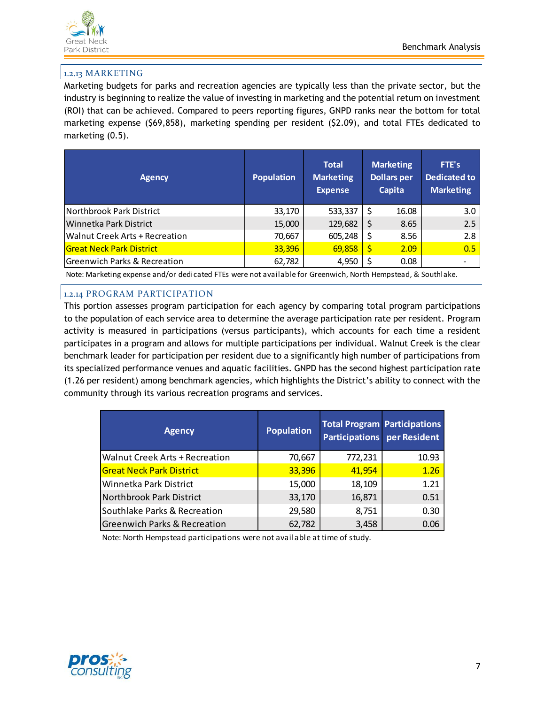

## 1.2.13 MARKETING

Marketing budgets for parks and recreation agencies are typically less than the private sector, but the industry is beginning to realize the value of investing in marketing and the potential return on investment (ROI) that can be achieved. Compared to peers reporting figures, GNPD ranks near the bottom for total marketing expense (\$69,858), marketing spending per resident (\$2.09), and total FTEs dedicated to marketing (0.5).

| Agency                          | <b>Population</b> | <b>Total</b><br><b>Marketing</b><br><b>Expense</b> | <b>Marketing</b><br><b>Dollars per</b><br>Capita | FTE's<br><b>Dedicated to</b><br><b>Marketing</b> |
|---------------------------------|-------------------|----------------------------------------------------|--------------------------------------------------|--------------------------------------------------|
| Northbrook Park District        | 33,170            | 533,337                                            | 16.08<br>-S                                      | 3.0                                              |
| Winnetka Park District          | 15,000            | 129,682                                            | 8.65                                             | 2.5                                              |
| Walnut Creek Arts + Recreation  | 70,667            | 605,248                                            | 8.56                                             | 2.8                                              |
| <b>Great Neck Park District</b> | 33,396            | 69,858                                             | 2.09                                             | 0.5                                              |
| Greenwich Parks & Recreation    | 62,782            | 4,950                                              | 0.08                                             |                                                  |

Note: Marketing expense and/or dedicated FTEs were not available for Greenwich, North Hempstead, & Southlake.

## 1.2.14 PROGRAM PARTICIPATION

This portion assesses program participation for each agency by comparing total program participations to the population of each service area to determine the average participation rate per resident. Program activity is measured in participations (versus participants), which accounts for each time a resident participates in a program and allows for multiple participations per individual. Walnut Creek is the clear benchmark leader for participation per resident due to a significantly high number of participations from its specialized performance venues and aquatic facilities. GNPD has the second highest participation rate (1.26 per resident) among benchmark agencies, which highlights the District's ability to connect with the community through its various recreation programs and services.

| <b>Agency</b>                           | <b>Population</b> | <b>Total Program Participations</b><br><b>Participations</b> per Resident |       |
|-----------------------------------------|-------------------|---------------------------------------------------------------------------|-------|
| <b>Walnut Creek Arts + Recreation</b>   | 70,667            | 772,231                                                                   | 10.93 |
| <b>Great Neck Park District</b>         | 33,396            | 41,954                                                                    | 1.26  |
| Winnetka Park District                  | 15,000            | 18,109                                                                    | 1.21  |
| Northbrook Park District                | 33,170            | 16,871                                                                    | 0.51  |
| Southlake Parks & Recreation            | 29,580            | 8,751                                                                     | 0.30  |
| <b>Greenwich Parks &amp; Recreation</b> | 62,782            | 3,458                                                                     | 0.06  |

Note: North Hempstead participations were not available at time of study.

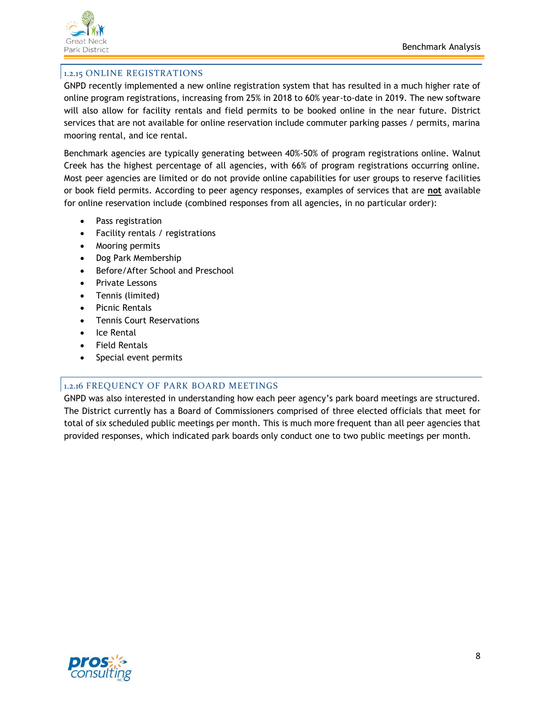

## 1.2.15 ONLINE REGISTRATIONS

GNPD recently implemented a new online registration system that has resulted in a much higher rate of online program registrations, increasing from 25% in 2018 to 60% year-to-date in 2019. The new software will also allow for facility rentals and field permits to be booked online in the near future. District services that are not available for online reservation include commuter parking passes / permits, marina mooring rental, and ice rental.

Benchmark agencies are typically generating between 40%-50% of program registrations online. Walnut Creek has the highest percentage of all agencies, with 66% of program registrations occurring online. Most peer agencies are limited or do not provide online capabilities for user groups to reserve facilities or book field permits. According to peer agency responses, examples of services that are **not** available for online reservation include (combined responses from all agencies, in no particular order):

- Pass registration
- Facility rentals / registrations
- Mooring permits
- Dog Park Membership
- Before/After School and Preschool
- Private Lessons
- Tennis (limited)
- Picnic Rentals
- Tennis Court Reservations
- Ice Rental
- Field Rentals
- Special event permits

### 1.2.16 FREQUENCY OF PARK BOARD MEETINGS

GNPD was also interested in understanding how each peer agency's park board meetings are structured. The District currently has a Board of Commissioners comprised of three elected officials that meet for total of six scheduled public meetings per month. This is much more frequent than all peer agencies that provided responses, which indicated park boards only conduct one to two public meetings per month.